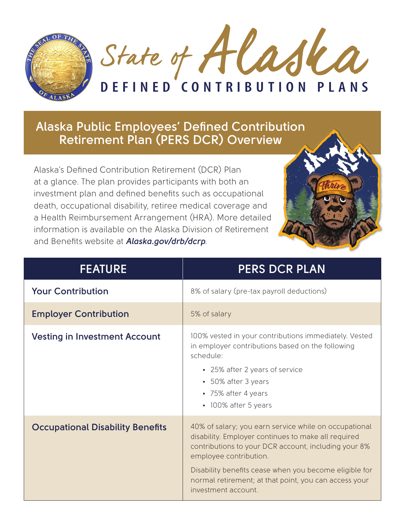

**Alaska Public Employees' Defined Contribution Retirement Plan (PERS DCR) Overview**

Alaska's Defined Contribution Retirement (DCR) Plan at a glance. The plan provides participants with both an investment plan and defined benefits such as occupational death, occupational disability, retiree medical coverage and a Health Reimbursement Arrangement (HRA). More detailed information is available on the Alaska Division of Retirement and Benefits website at *Alaska.gov/drb/dcrp*.



| <b>FEATURE</b>                          | <b>PERS DCR PLAN</b>                                                                                                                                                                                                                                                                                                                     |
|-----------------------------------------|------------------------------------------------------------------------------------------------------------------------------------------------------------------------------------------------------------------------------------------------------------------------------------------------------------------------------------------|
| <b>Your Contribution</b>                | 8% of salary (pre-tax payroll deductions)                                                                                                                                                                                                                                                                                                |
| <b>Employer Contribution</b>            | 5% of salary                                                                                                                                                                                                                                                                                                                             |
| <b>Vesting in Investment Account</b>    | 100% vested in your contributions immediately. Vested<br>in employer contributions based on the following<br>schedule:<br>• 25% after 2 years of service<br>• 50% after 3 years<br>• 75% after 4 years<br>• 100% after 5 years                                                                                                           |
| <b>Occupational Disability Benefits</b> | 40% of salary; you earn service while on occupational<br>disability. Employer continues to make all required<br>contributions to your DCR account, including your 8%<br>employee contribution.<br>Disability benefits cease when you become eligible for<br>normal retirement; at that point, you can access your<br>investment account. |